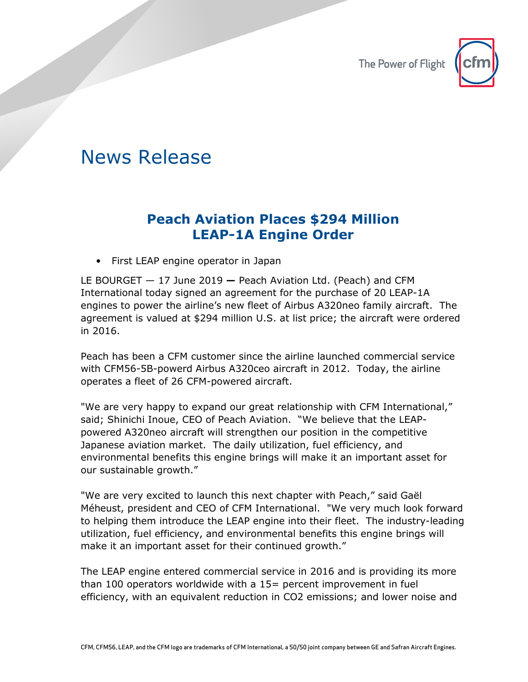

## News Release

## **Peach Aviation Places \$294 Million LEAP-1A Engine Order**

• First LEAP engine operator in Japan

LE BOURGET — 17 June 2019 **—** Peach Aviation Ltd. (Peach) and CFM International today signed an agreement for the purchase of 20 LEAP-1A engines to power the airline's new fleet of Airbus A320neo family aircraft. The agreement is valued at \$294 million U.S. at list price; the aircraft were ordered in 2016.

Peach has been a CFM customer since the airline launched commercial service with CFM56-5B-powerd Airbus A320ceo aircraft in 2012. Today, the airline operates a fleet of 26 CFM-powered aircraft.

"We are very happy to expand our great relationship with CFM International," said; Shinichi Inoue, CEO of Peach Aviation. "We believe that the LEAPpowered A320neo aircraft will strengthen our position in the competitive Japanese aviation market. The daily utilization, fuel efficiency, and environmental benefits this engine brings will make it an important asset for our sustainable growth."

"We are very excited to launch this next chapter with Peach," said Gaël Méheust, president and CEO of CFM International. "We very much look forward to helping them introduce the LEAP engine into their fleet. The industry-leading utilization, fuel efficiency, and environmental benefits this engine brings will make it an important asset for their continued growth."

The LEAP engine entered commercial service in 2016 and is providing its more than 100 operators worldwide with a 15= percent improvement in fuel efficiency, with an equivalent reduction in CO2 emissions; and lower noise and